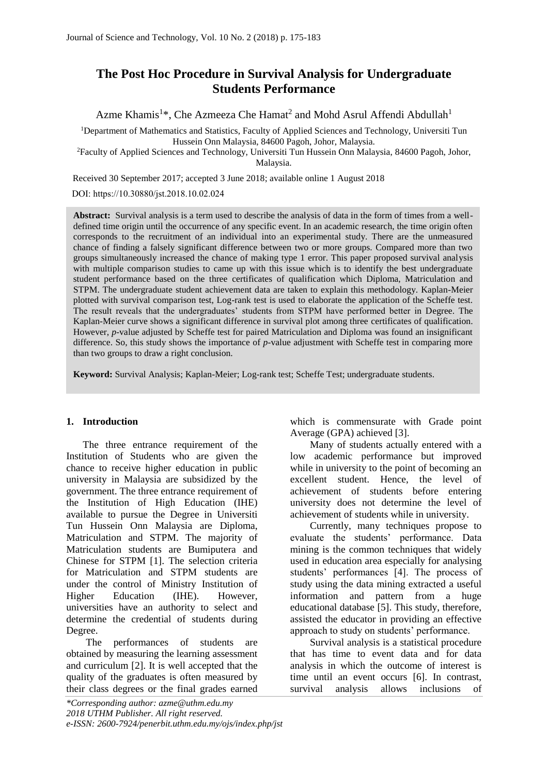# **The Post Hoc Procedure in Survival Analysis for Undergraduate Students Performance**

Azme Khamis<sup>1\*</sup>, Che Azmeeza Che Hamat<sup>2</sup> and Mohd Asrul Affendi Abdullah<sup>1</sup>

<sup>1</sup>Department of Mathematics and Statistics, Faculty of Applied Sciences and Technology, Universiti Tun Hussein Onn Malaysia, 84600 Pagoh, Johor, Malaysia.

<sup>2</sup>Faculty of Applied Sciences and Technology, Universiti Tun Hussein Onn Malaysia, 84600 Pagoh, Johor, Malaysia.

Received 30 September 2017; accepted 3 June 2018; available online 1 August 2018

DOI: https://10.30880/jst.2018.10.02.024

**Abstract:** Survival analysis is a term used to describe the analysis of data in the form of times from a welldefined time origin until the occurrence of any specific event. In an academic research, the time origin often corresponds to the recruitment of an individual into an experimental study. There are the unmeasured chance of finding a falsely significant difference between two or more groups. Compared more than two groups simultaneously increased the chance of making type 1 error. This paper proposed survival analysis with multiple comparison studies to came up with this issue which is to identify the best undergraduate student performance based on the three certificates of qualification which Diploma, Matriculation and STPM. The undergraduate student achievement data are taken to explain this methodology. Kaplan-Meier plotted with survival comparison test, Log-rank test is used to elaborate the application of the Scheffe test. The result reveals that the undergraduates' students from STPM have performed better in Degree. The Kaplan-Meier curve shows a significant difference in survival plot among three certificates of qualification. However, *p*-value adjusted by Scheffe test for paired Matriculation and Diploma was found an insignificant difference. So, this study shows the importance of *p-*value adjustment with Scheffe test in comparing more than two groups to draw a right conclusion.

**Keyword:** Survival Analysis; Kaplan-Meier; Log-rank test; Scheffe Test; undergraduate students.

### **1. Introduction**

The three entrance requirement of the Institution of Students who are given the chance to receive higher education in public university in Malaysia are subsidized by the government. The three entrance requirement of the Institution of High Education (IHE) available to pursue the Degree in Universiti Tun Hussein Onn Malaysia are Diploma, Matriculation and STPM. The majority of Matriculation students are Bumiputera and Chinese for STPM [1]. The selection criteria for Matriculation and STPM students are under the control of Ministry Institution of Higher Education (IHE). However, universities have an authority to select and determine the credential of students during Degree.

The performances of students are obtained by measuring the learning assessment and curriculum [2]. It is well accepted that the quality of the graduates is often measured by their class degrees or the final grades earned

*\*Corresponding author: azme@uthm.edu.my 2018 UTHM Publisher. All right reserved. e-ISSN: 2600-7924/penerbit.uthm.edu.my/ojs/index.php/jst*

which is commensurate with Grade point Average (GPA) achieved [3].

Many of students actually entered with a low academic performance but improved while in university to the point of becoming an excellent student. Hence, the level of achievement of students before entering university does not determine the level of achievement of students while in university.

Currently, many techniques propose to evaluate the students' performance. Data mining is the common techniques that widely used in education area especially for analysing students' performances [4]. The process of study using the data mining extracted a useful information and pattern from a huge educational database [5]. This study, therefore, assisted the educator in providing an effective approach to study on students' performance.

Survival analysis is a statistical procedure that has time to event data and for data analysis in which the outcome of interest is time until an event occurs [6]. In contrast, survival analysis allows inclusions of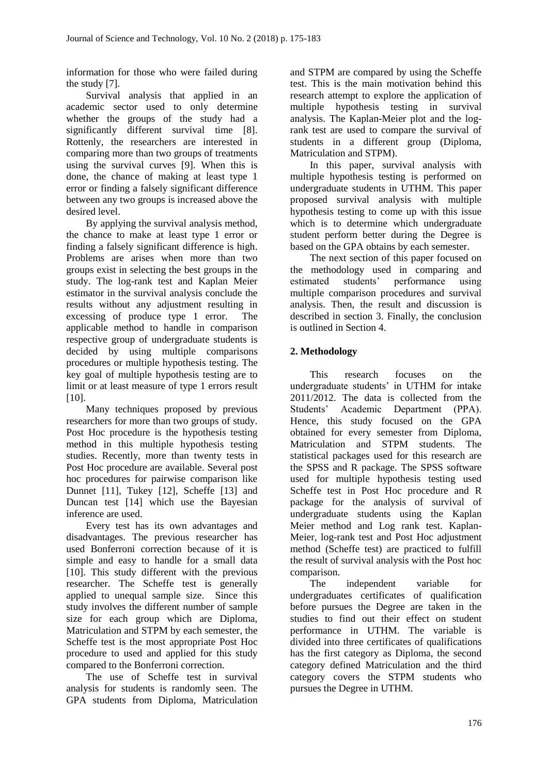information for those who were failed during the study [7].

Survival analysis that applied in an academic sector used to only determine whether the groups of the study had a significantly different survival time [8]. Rottenly, the researchers are interested in comparing more than two groups of treatments using the survival curves [9]. When this is done, the chance of making at least type 1 error or finding a falsely significant difference between any two groups is increased above the desired level.

By applying the survival analysis method, the chance to make at least type 1 error or finding a falsely significant difference is high. Problems are arises when more than two groups exist in selecting the best groups in the study. The log-rank test and Kaplan Meier estimator in the survival analysis conclude the results without any adjustment resulting in excessing of produce type 1 error. The applicable method to handle in comparison respective group of undergraduate students is decided by using multiple comparisons procedures or multiple hypothesis testing. The key goal of multiple hypothesis testing are to limit or at least measure of type 1 errors result [10].

Many techniques proposed by previous researchers for more than two groups of study. Post Hoc procedure is the hypothesis testing method in this multiple hypothesis testing studies. Recently, more than twenty tests in Post Hoc procedure are available. Several post hoc procedures for pairwise comparison like Dunnet [11], Tukey [12], Scheffe [13] and Duncan test [14] which use the Bayesian inference are used.

Every test has its own advantages and disadvantages. The previous researcher has used Bonferroni correction because of it is simple and easy to handle for a small data [10]. This study different with the previous researcher. The Scheffe test is generally applied to unequal sample size. Since this study involves the different number of sample size for each group which are Diploma, Matriculation and STPM by each semester, the Scheffe test is the most appropriate Post Hoc procedure to used and applied for this study compared to the Bonferroni correction.

The use of Scheffe test in survival analysis for students is randomly seen. The GPA students from Diploma, Matriculation and STPM are compared by using the Scheffe test. This is the main motivation behind this research attempt to explore the application of multiple hypothesis testing in survival analysis. The Kaplan-Meier plot and the logrank test are used to compare the survival of students in a different group (Diploma, Matriculation and STPM).

In this paper, survival analysis with multiple hypothesis testing is performed on undergraduate students in UTHM. This paper proposed survival analysis with multiple hypothesis testing to come up with this issue which is to determine which undergraduate student perform better during the Degree is based on the GPA obtains by each semester.

The next section of this paper focused on the methodology used in comparing and estimated students' performance using multiple comparison procedures and survival analysis. Then, the result and discussion is described in section 3. Finally, the conclusion is outlined in Section 4.

# **2. Methodology**

This research focuses on the undergraduate students' in UTHM for intake 2011/2012. The data is collected from the Students' Academic Department (PPA). Hence, this study focused on the GPA obtained for every semester from Diploma, Matriculation and STPM students. The statistical packages used for this research are the SPSS and R package. The SPSS software used for multiple hypothesis testing used Scheffe test in Post Hoc procedure and R package for the analysis of survival of undergraduate students using the Kaplan Meier method and Log rank test. Kaplan-Meier, log-rank test and Post Hoc adjustment method (Scheffe test) are practiced to fulfill the result of survival analysis with the Post hoc comparison.

The independent variable for undergraduates certificates of qualification before pursues the Degree are taken in the studies to find out their effect on student performance in UTHM. The variable is divided into three certificates of qualifications has the first category as Diploma, the second category defined Matriculation and the third category covers the STPM students who pursues the Degree in UTHM.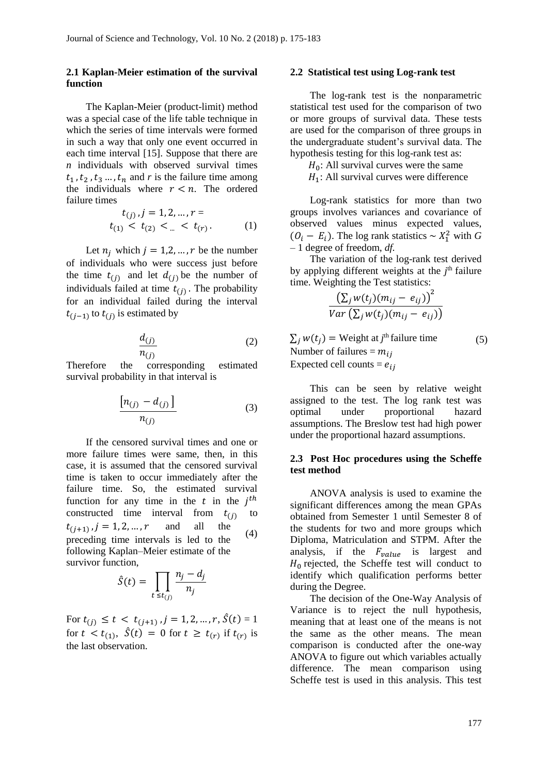#### **2.1 Kaplan-Meier estimation of the survival function**

The Kaplan-Meier (product-limit) method was a special case of the life table technique in which the series of time intervals were formed in such a way that only one event occurred in each time interval [15]. Suppose that there are *n* individuals with observed survival times  $t_1, t_2, t_3, \ldots, t_n$  and *r* is the failure time among the individuals where  $r < n$ . The ordered failure times

$$
t_{(j)}, j = 1, 2, ..., r =
$$
  
\n
$$
t_{(1)} < t_{(2)} < ... < t_{(r)}.
$$
\n<sup>(1)</sup>

Let  $n_i$  which  $j = 1, 2, ..., r$  be the number of individuals who were success just before the time  $t_{(i)}$  and let  $d_{(i)}$  be the number of individuals failed at time  $t_{(j)}$ . The probability for an individual failed during the interval  $t_{(j-1)}$  to  $t_{(j)}$  is estimated by

$$
\frac{d_{(j)}}{n_{(j)}}\tag{2}
$$

Therefore the corresponding estimated survival probability in that interval is

$$
\frac{\left[n_{(j)} - d_{(j)}\right]}{n_{(j)}}\tag{3}
$$

If the censored survival times and one or more failure times were same, then, in this case, it is assumed that the censored survival time is taken to occur immediately after the failure time. So, the estimated survival function for any time in the t in the  $j<sup>th</sup>$ constructed time interval from  $t_{(i)}$ to  $t_{(j+1)}, j = 1, 2, ..., r$  and all the preceding time intervals is led to the following Kaplan–Meier estimate of the survivor function, (4)

$$
\hat{S}(t) = \prod_{t \le t_{(j)}} \frac{n_j - d_j}{n_j}
$$

For  $t_{(j)} \le t < t_{(j+1)}$ ,  $j = 1, 2, ..., r$ ,  $\hat{S}(t) = 1$ for  $t < t_{(1)}$ ,  $\hat{S}(t) = 0$  for  $t \ge t_{(r)}$  if  $t_{(r)}$  is the last observation.

#### **2.2 Statistical test using Log-rank test**

The log-rank test is the nonparametric statistical test used for the comparison of two or more groups of survival data. These tests are used for the comparison of three groups in the undergraduate student's survival data. The hypothesis testing for this log-rank test as:

 $H_0$ : All survival curves were the same

 $H_1$ : All survival curves were difference

Log-rank statistics for more than two groups involves variances and covariance of observed values minus expected values,  $(O_i - E_i)$ . The log rank statistics  $\sim X_1^2$  with G – 1 degree of freedom, *df.*

The variation of the log-rank test derived by applying different weights at the  $j<sup>th</sup>$  failure time. Weighting the Test statistics:

$$
\frac{\left(\sum_j w(t_j)(m_{ij} - e_{ij})\right)^2}{Var\left(\sum_j w(t_j)(m_{ij} - e_{ij})\right)}
$$

(2)  $\sum_j w(t_j) = \text{Weight at } j^{\text{th}} \text{ failure time}$  (5) Number of failures =  $m_{ij}$ Expected cell counts =  $e_{ii}$ 

> This can be seen by relative weight assigned to the test. The log rank test was optimal under proportional hazard assumptions. The Breslow test had high power under the proportional hazard assumptions.

#### **2.3 Post Hoc procedures using the Scheffe test method**

ANOVA analysis is used to examine the significant differences among the mean GPAs obtained from Semester 1 until Semester 8 of the students for two and more groups which Diploma, Matriculation and STPM. After the analysis, if the  $F_{value}$  is largest and  $H_0$  rejected, the Scheffe test will conduct to identify which qualification performs better during the Degree.

The decision of the One-Way Analysis of Variance is to reject the null hypothesis, meaning that at least one of the means is not the same as the other means. The mean comparison is conducted after the one-way ANOVA to figure out which variables actually difference. The mean comparison using Scheffe test is used in this analysis. This test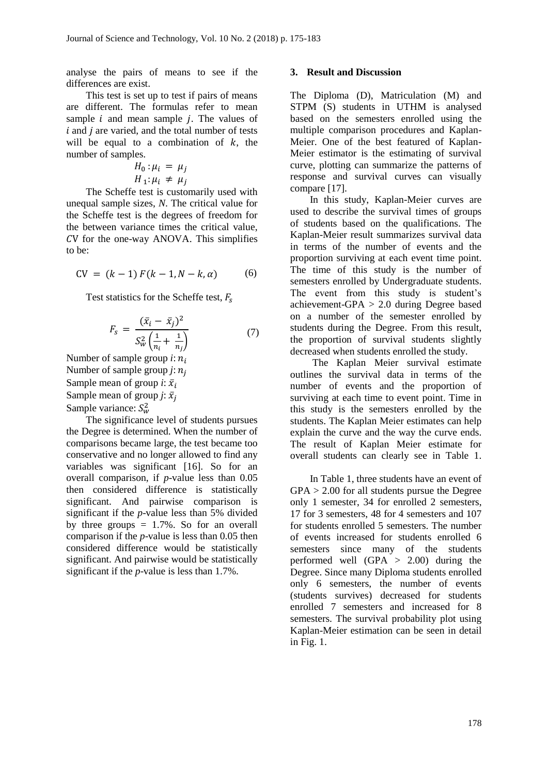analyse the pairs of means to see if the differences are exist.

This test is set up to test if pairs of means are different. The formulas refer to mean sample  $i$  and mean sample  $i$ . The values of  $i$  and  $j$  are varied, and the total number of tests will be equal to a combination of  $k$ , the number of samples.

$$
H_0: \mu_i = \mu_j
$$
  

$$
H_1: \mu_i \neq \mu_j
$$

The Scheffe test is customarily used with unequal sample sizes, *N*. The critical value for the Scheffe test is the degrees of freedom for the between variance times the critical value, V for the one-way ANOVA. This simplifies to be:

$$
CV = (k-1) F(k-1, N-k, \alpha)
$$
 (6)

Test statistics for the Scheffe test,  $F_s$ 

$$
F_{s} = \frac{(\bar{x}_{i} - \bar{x}_{j})^{2}}{S_{w}^{2} \left(\frac{1}{n_{i}} + \frac{1}{n_{j}}\right)}
$$
(7)

Number of sample group *i*: Number of sample group  $j: n_j$ Sample mean of group *i*:  $\bar{x}_i$ Sample mean of group *j*:  $\bar{x}_i$ Sample variance:  $S_w^2$ 

The significance level of students pursues the Degree is determined. When the number of comparisons became large, the test became too conservative and no longer allowed to find any variables was significant [16]. So for an overall comparison, if *p*-value less than 0.05 then considered difference is statistically significant. And pairwise comparison is significant if the *p*-value less than 5% divided by three groups  $= 1.7\%$ . So for an overall comparison if the *p*-value is less than 0.05 then considered difference would be statistically significant. And pairwise would be statistically significant if the *p*-value is less than 1.7%.

#### **3. Result and Discussion**

The Diploma (D), Matriculation (M) and STPM (S) students in UTHM is analysed based on the semesters enrolled using the multiple comparison procedures and Kaplan-Meier. One of the best featured of Kaplan-Meier estimator is the estimating of survival curve, plotting can summarize the patterns of response and survival curves can visually compare [17].

In this study, Kaplan-Meier curves are used to describe the survival times of groups of students based on the qualifications. The Kaplan-Meier result summarizes survival data in terms of the number of events and the proportion surviving at each event time point. The time of this study is the number of semesters enrolled by Undergraduate students. The event from this study is student's achievement-GPA > 2.0 during Degree based on a number of the semester enrolled by students during the Degree. From this result, the proportion of survival students slightly decreased when students enrolled the study.

The Kaplan Meier survival estimate outlines the survival data in terms of the number of events and the proportion of surviving at each time to event point. Time in this study is the semesters enrolled by the students. The Kaplan Meier estimates can help explain the curve and the way the curve ends. The result of Kaplan Meier estimate for overall students can clearly see in Table 1.

In Table 1, three students have an event of  $GPA > 2.00$  for all students pursue the Degree only 1 semester, 34 for enrolled 2 semesters, 17 for 3 semesters, 48 for 4 semesters and 107 for students enrolled 5 semesters. The number of events increased for students enrolled 6 semesters since many of the students performed well  $(GPA > 2.00)$  during the Degree. Since many Diploma students enrolled only 6 semesters, the number of events (students survives) decreased for students enrolled 7 semesters and increased for 8 semesters. The survival probability plot using Kaplan-Meier estimation can be seen in detail in Fig. 1.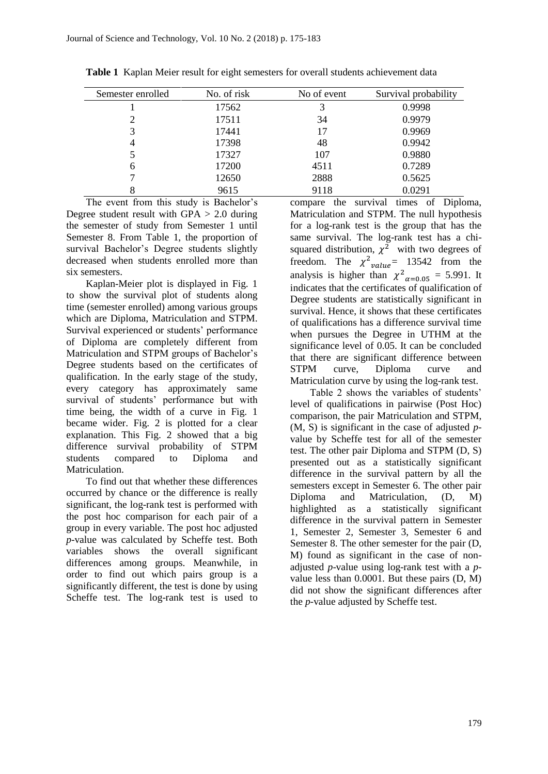| Semester enrolled | No. of risk | No of event | Survival probability |
|-------------------|-------------|-------------|----------------------|
|                   | 17562       | 3           | 0.9998               |
|                   | 17511       | 34          | 0.9979               |
|                   | 17441       | 17          | 0.9969               |
| 4                 | 17398       | 48          | 0.9942               |
|                   | 17327       | 107         | 0.9880               |
| 6                 | 17200       | 4511        | 0.7289               |
|                   | 12650       | 2888        | 0.5625               |
|                   | 9615        | 9118        | 0.0291               |

**Table 1** Kaplan Meier result for eight semesters for overall students achievement data

The event from this study is Bachelor's Degree student result with  $GPA > 2.0$  during the semester of study from Semester 1 until Semester 8. From Table 1, the proportion of survival Bachelor's Degree students slightly decreased when students enrolled more than six semesters.

Kaplan-Meier plot is displayed in Fig. 1 to show the survival plot of students along time (semester enrolled) among various groups which are Diploma, Matriculation and STPM. Survival experienced or students' performance of Diploma are completely different from Matriculation and STPM groups of Bachelor's Degree students based on the certificates of qualification. In the early stage of the study, every category has approximately same survival of students' performance but with time being, the width of a curve in Fig. 1 became wider. Fig. 2 is plotted for a clear explanation. This Fig. 2 showed that a big difference survival probability of STPM students compared to Diploma and Matriculation.

To find out that whether these differences occurred by chance or the difference is really significant, the log-rank test is performed with the post hoc comparison for each pair of a group in every variable. The post hoc adjusted *p*-value was calculated by Scheffe test. Both variables shows the overall significant differences among groups. Meanwhile, in order to find out which pairs group is a significantly different, the test is done by using Scheffe test. The log-rank test is used to compare the survival times of Diploma, Matriculation and STPM. The null hypothesis for a log-rank test is the group that has the same survival. The log-rank test has a chisquared distribution,  $\chi^2$  with two degrees of freedom. The  $\chi^2_{value}$  = 13542 from the analysis is higher than  $\chi^2_{\alpha=0.05}$  = 5.991. It indicates that the certificates of qualification of Degree students are statistically significant in survival. Hence, it shows that these certificates of qualifications has a difference survival time when pursues the Degree in UTHM at the significance level of 0.05. It can be concluded that there are significant difference between STPM curve, Diploma curve and Matriculation curve by using the log-rank test.

Table 2 shows the variables of students' level of qualifications in pairwise (Post Hoc) comparison, the pair Matriculation and STPM, (M, S) is significant in the case of adjusted *p*value by Scheffe test for all of the semester test. The other pair Diploma and STPM (D, S) presented out as a statistically significant difference in the survival pattern by all the semesters except in Semester 6. The other pair Diploma and Matriculation, (D, M) highlighted as a statistically significant difference in the survival pattern in Semester 1, Semester 2, Semester 3, Semester 6 and Semester 8. The other semester for the pair (D, M) found as significant in the case of nonadjusted *p*-value using log-rank test with a *p*value less than 0.0001. But these pairs (D, M) did not show the significant differences after the *p-*value adjusted by Scheffe test.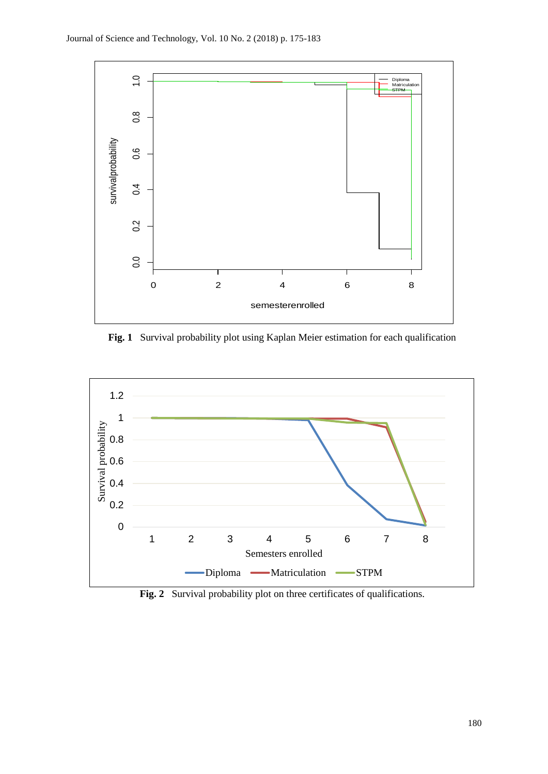

**Fig. 1** Survival probability plot using Kaplan Meier estimation for each qualification



**Fig. 2** Survival probability plot on three certificates of qualifications.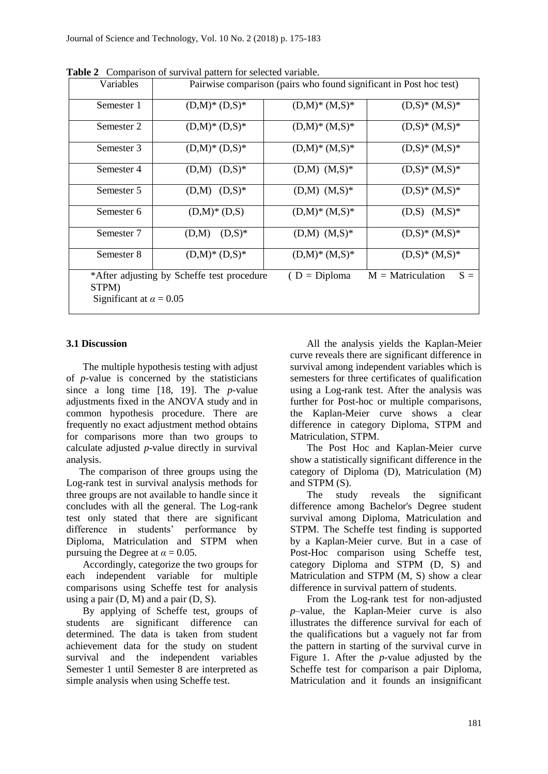| Variables                               | Pairwise comparison (pairs who found significant in Post hoc test) |                   |                              |
|-----------------------------------------|--------------------------------------------------------------------|-------------------|------------------------------|
| Semester 1                              | $(D,M)^{*}(D,S)^{*}$                                               | $(D,M)^* (M,S)^*$ | $(D,S)^* (M,S)^*$            |
| Semester 2                              | $(D,M)^{*}(D,S)^{*}$                                               | $(D,M)^* (M,S)^*$ | $(D,S)^* (M,S)^*$            |
| Semester 3                              | $(D,M)^{*}(D,S)^{*}$                                               | $(D,M)^* (M,S)^*$ | $(D,S)^* (M,S)^*$            |
| Semester 4                              | $(D,M)$ $(D,S)^*$                                                  | $(D,M)$ $(M,S)^*$ | $(D,S)^* (M,S)^*$            |
| Semester 5                              | $(D,M)$ $(D,S)^*$                                                  | $(D,M)$ $(M,S)^*$ | $(D,S)^* (M,S)^*$            |
| Semester 6                              | $(D,M)^*(D,S)$                                                     | $(D,M)^* (M,S)^*$ | $(D,S)$ $(M,S)^*$            |
| Semester 7                              | $(D,S)^*$<br>(D,M)                                                 | $(D,M)$ $(M,S)^*$ | $(D,S)^* (M,S)^*$            |
| Semester 8                              | $(D,M)^*(D,S)^*$                                                   | $(D,M)^* (M,S)^*$ | $(D,S)^* (M,S)^*$            |
| STPM)<br>Significant at $\alpha = 0.05$ | *After adjusting by Scheffe test procedure                         | $(D = Diploma)$   | $M = Matriculation$<br>$S =$ |

**Table 2** Comparison of survival pattern for selected variable.

#### **3.1 Discussion**

The multiple hypothesis testing with adjust of *p-*value is concerned by the statisticians since a long time [18, 19]. The *p-*value adjustments fixed in the ANOVA study and in common hypothesis procedure. There are frequently no exact adjustment method obtains for comparisons more than two groups to calculate adjusted *p*-value directly in survival analysis.

The comparison of three groups using the Log-rank test in survival analysis methods for three groups are not available to handle since it concludes with all the general. The Log-rank test only stated that there are significant difference in students' performance by Diploma, Matriculation and STPM when pursuing the Degree at  $\alpha = 0.05$ .

Accordingly, categorize the two groups for each independent variable for multiple comparisons using Scheffe test for analysis using a pair  $(D, M)$  and a pair  $(D, S)$ .

By applying of Scheffe test, groups of students are significant difference can determined. The data is taken from student achievement data for the study on student survival and the independent variables Semester 1 until Semester 8 are interpreted as simple analysis when using Scheffe test.

All the analysis yields the Kaplan-Meier curve reveals there are significant difference in survival among independent variables which is semesters for three certificates of qualification using a Log-rank test. After the analysis was further for Post-hoc or multiple comparisons, the Kaplan-Meier curve shows a clear difference in category Diploma, STPM and Matriculation, STPM.

The Post Hoc and Kaplan-Meier curve show a statistically significant difference in the category of Diploma (D), Matriculation (M) and STPM (S).

The study reveals the significant difference among Bachelor's Degree student survival among Diploma, Matriculation and STPM. The Scheffe test finding is supported by a Kaplan-Meier curve. But in a case of Post-Hoc comparison using Scheffe test, category Diploma and STPM (D, S) and Matriculation and STPM (M, S) show a clear difference in survival pattern of students.

From the Log-rank test for non-adjusted *p*–value, the Kaplan-Meier curve is also illustrates the difference survival for each of the qualifications but a vaguely not far from the pattern in starting of the survival curve in Figure 1. After the *p-*value adjusted by the Scheffe test for comparison a pair Diploma, Matriculation and it founds an insignificant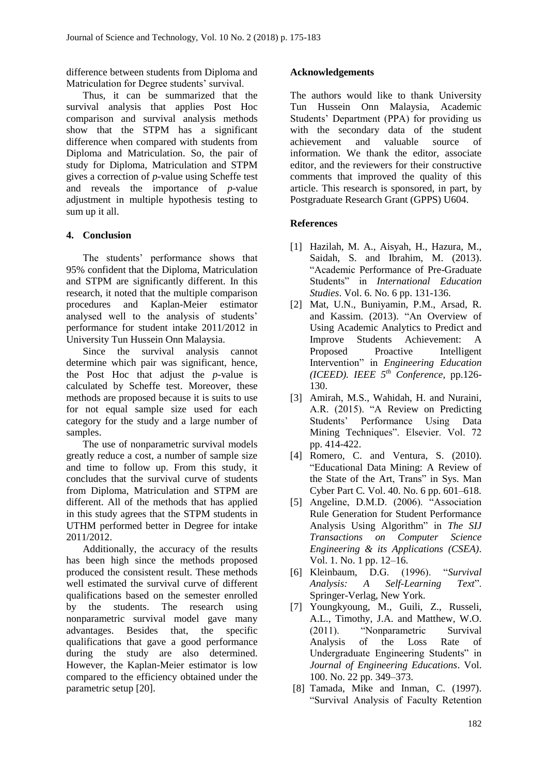difference between students from Diploma and Matriculation for Degree students' survival.

Thus, it can be summarized that the survival analysis that applies Post Hoc comparison and survival analysis methods show that the STPM has a significant difference when compared with students from Diploma and Matriculation. So, the pair of study for Diploma, Matriculation and STPM gives a correction of *p*-value using Scheffe test and reveals the importance of *p*-value adjustment in multiple hypothesis testing to sum up it all.

# **4. Conclusion**

The students' performance shows that 95% confident that the Diploma, Matriculation and STPM are significantly different. In this research, it noted that the multiple comparison procedures and Kaplan-Meier estimator analysed well to the analysis of students' performance for student intake 2011/2012 in University Tun Hussein Onn Malaysia.

Since the survival analysis cannot determine which pair was significant, hence, the Post Hoc that adjust the *p-*value is calculated by Scheffe test. Moreover, these methods are proposed because it is suits to use for not equal sample size used for each category for the study and a large number of samples.

The use of nonparametric survival models greatly reduce a cost, a number of sample size and time to follow up. From this study, it concludes that the survival curve of students from Diploma, Matriculation and STPM are different. All of the methods that has applied in this study agrees that the STPM students in UTHM performed better in Degree for intake 2011/2012.

Additionally, the accuracy of the results has been high since the methods proposed produced the consistent result. These methods well estimated the survival curve of different qualifications based on the semester enrolled by the students. The research using nonparametric survival model gave many advantages. Besides that, the specific qualifications that gave a good performance during the study are also determined. However, the Kaplan-Meier estimator is low compared to the efficiency obtained under the parametric setup [20].

## **Acknowledgements**

The authors would like to thank University Tun Hussein Onn Malaysia, Academic Students' Department (PPA) for providing us with the secondary data of the student achievement and valuable source of information. We thank the editor, associate editor, and the reviewers for their constructive comments that improved the quality of this article. This research is sponsored, in part, by Postgraduate Research Grant (GPPS) U604.

## **References**

- [1] Hazilah, M. A., Aisyah, H., Hazura, M., Saidah, S. and Ibrahim, M. (2013). "Academic Performance of Pre-Graduate Students" in *International Education Studies*. Vol. 6. No. 6 pp. 131-136.
- [2] Mat, U.N., Buniyamin, P.M., Arsad, R. and Kassim. (2013). "An Overview of Using Academic Analytics to Predict and Improve Students Achievement: A Proposed Proactive Intelligent Intervention" in *Engineering Education (ICEED). IEEE 5th Conference*, pp.126- 130.
- [3] Amirah, M.S., Wahidah, H. and Nuraini, A.R. (2015). "A Review on Predicting Students' Performance Using Data Mining Techniques". Elsevier. Vol. 72 pp. 414-422.
- [4] Romero, C. and Ventura, S. (2010). "Educational Data Mining: A Review of the State of the Art, Trans" in Sys. Man Cyber Part C*.* Vol. 40. No. 6 pp. 601–618.
- [5] Angeline, D.M.D. (2006). "Association Rule Generation for Student Performance Analysis Using Algorithm" in *The SIJ Transactions on Computer Science Engineering & its Applications (CSEA)*. Vol. 1. No. 1 pp. 12–16.
- [6] Kleinbaum, D.G. (1996). "*Survival Analysis: A Self-Learning Text*". Springer-Verlag, New York.
- [7] Youngkyoung, M., Guili, Z., Russeli, A.L., Timothy, J.A. and Matthew, W.O. (2011). "Nonparametric Survival Analysis of the Loss Rate of Undergraduate Engineering Students" in *Journal of Engineering Educations*. Vol. 100. No. 22 pp. 349–373.
- [8] Tamada, Mike and Inman, C. (1997). "Survival Analysis of Faculty Retention